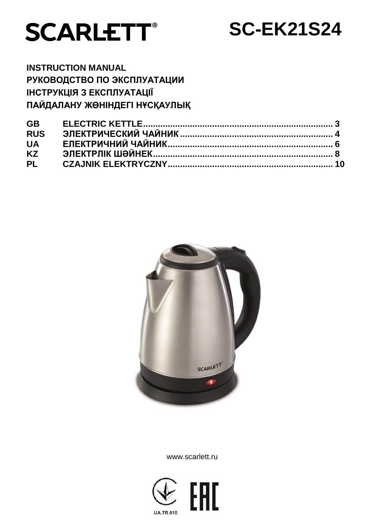



**INSTRUCTION MANUAL РУКОВОДСТВО ПО ЭКСПЛУАТАЦИИ ІНСТРУКЦІЯ З ЕКСПЛУАТАЦІЇ ПАЙДАЛАНУ ЖӨНІНДЕГІ НҰСҚАУЛЫҚ**

| <b>GB</b>  |  |
|------------|--|
| <b>RUS</b> |  |
|            |  |
|            |  |
|            |  |



www.scarlett.ru

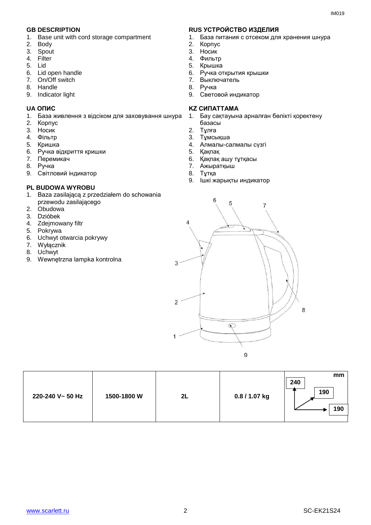- 1. Base unit with cord storage compartment
- 2. Body
- 3. Spout
- 4. Filter
- 5. Lid
- 6. Lid open handle
- 7. On/Off switch
- 8. Handle
- 9. Indicator light

- 1. База живлення з відсіком для заховування шнура
- 2. Корпус
- 3. Носик
- 4. Фільтр
- 5. Кришка
- 6. Ручка відкриття кришки
- 7. Перемикач
- 8. Ручка
- 9. Cвітловий індикатор

#### **PL BUDOWA WYROBU**

- 1. Baza zasilającą z przedziałem do schowania przewodu zasilającego
- 2. Obudowa
- 3. Dzióbek
- 4. Zdejmowany filtr
- 5. Pokrywa
- 6. Uchwyt otwarcia pokrywy
- 7. Wyłącznik
- 8. Uchwyt
- 9. Wewnętrzna lampka kontrolna

## **GB DESCRIPTION RUS УСТРОЙСТВО ИЗДЕЛИЯ**

- 1. База питания с отсеком для хранения шнура
- 2. Корпус
- 3. Носик
- 4. Фильтр
- 5. Крышка
- 6. Ручка открытия крышки
- 7. Выключатель
- ..<br>8. Ручка
- 9. Световой индикатор

#### **UA ОПИС KZ СИПАТТАМА**

- 1. Бау сақтауына арналған бөлікті қоректену базасы
- 2. Тұлға
- 3. Тұмсықша
- 4. Алмалы-салмалы сүзгі
- 5. Қақпақ
- 6. Қақпақ ашу тұтқасы
- 7. Ажыратқыш
- 8. Тұтқа
- 9. Ішкі жарықты индикатор



| 1500-1800 W<br>220-240 V~ 50 Hz<br>2L | 0.8 / 1.07 kg | mm<br>240<br>190<br>190 |
|---------------------------------------|---------------|-------------------------|
|---------------------------------------|---------------|-------------------------|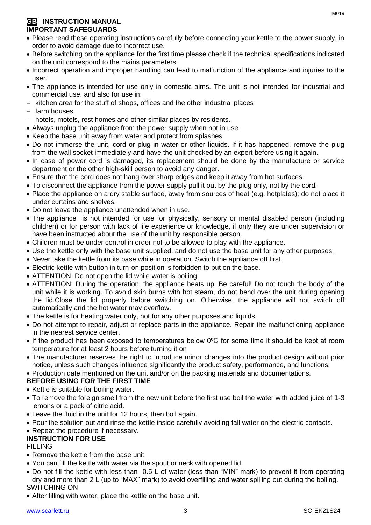## **GB** INSTRUCTION MANUAL **IMPORTANT SAFEGUARDS**

- Please read these operating instructions carefully before connecting your kettle to the power supply, in order to avoid damage due to incorrect use.
- Before switching on the appliance for the first time please check if the technical specifications indicated on the unit correspond to the mains parameters.
- Incorrect operation and improper handling can lead to malfunction of the appliance and injuries to the user.
- The appliance is intended for use only in domestic aims. The unit is not intended for industrial and commercial use, and also for use in:
- $-$  kitchen area for the stuff of shops, offices and the other industrial places
- $-$  farm houses
- hotels, motels, rest homes and other similar places by residents.
- Always unplug the appliance from the power supply when not in use.
- Keep the base unit away from water and protect from splashes.
- Do not immerse the unit, cord or plug in water or other liquids. If it has happened, remove the plug from the wall socket immediately and have the unit checked by an expert before using it again.
- In case of power cord is damaged, its replacement should be done by the manufacture or service department or the other high-skill person to avoid any danger.
- Ensure that the cord does not hang over sharp edges and keep it away from hot surfaces.
- To disconnect the appliance from the power supply pull it out by the plug only, not by the cord.
- Place the appliance on a dry stable surface, away from sources of heat (e.g. hotplates); do not place it under curtains and shelves.
- Do not leave the appliance unattended when in use.
- The appliance is not intended for use for [physically, sensory or mental disabled](https://www.multitran.ru/c/m.exe?t=5841801_1_2&s1=%F7%E5%EB%EE%E2%E5%EA%20%F1%20%EE%E3%F0%E0%ED%E8%F7%E5%ED%ED%FB%EC%E8%20%E2%EE%E7%EC%EE%E6%ED%EE%F1%F2%FF%EC%E8) person (including children) or for person with lack of life experience or knowledge, if only they are under supervision or have been instructed about the use of the unit by responsible person.
- Children must be under control in order not to be allowed to play with the appliance.
- Use the kettle only with the base unit supplied, and do not use the base unit for any other purposes.
- Never take the kettle from its base while in operation. Switch the appliance off first.
- Electric kettle with button in turn-on position is forbidden to put on the base.
- ATTENTION: Do not open the lid while water is boiling.
- ATTENTION: During the operation, the appliance heats up. Be careful! Do not touch the body of the unit while it is working. To avoid skin burns with hot steam, do not bend over the unit during opening the lid.Close the lid properly before switching on. Otherwise, the appliance will not switch off automatically and the hot water may overflow.
- The kettle is for heating water only, not for any other purposes and liquids.
- Do not attempt to repair, adjust or replace parts in the appliance. Repair the malfunctioning appliance in the nearest service center.
- If the product has been exposed to temperatures below 0ºC for some time it should be kept at room temperature for at least 2 hours before turning it on
- The manufacturer reserves the right to introduce minor changes into the product design without prior notice, unless such changes influence significantly the product safety, performance, and functions.
- Production date mentioned on the unit and/or on the packing materials and documentations.

## **BEFORE USING FOR THE FIRST TIME**

- Kettle is suitable for boiling water.
- To remove the foreign smell from the new unit before the first use boil the water with added juice of 1-3 lemons or a pack of citric acid.
- Leave the fluid in the unit for 12 hours, then boil again.
- Pour the solution out and rinse the kettle inside carefully avoiding fall water on the electric contacts.
- Repeat the procedure if necessary.

## **INSTRUCTION FOR USE**

## FILLING

- Remove the kettle from the base unit.
- You can fill the kettle with water via the spout or neck with opened lid.
- Do not fill the kettle with less than 0.5 L of water (less than "MIN" mark) to prevent it from operating dry and more than 2 L (up to "MAX" mark) to avoid overfilling and water spilling out during the boiling. SWITCHING ON
- After filling with water, place the kettle on the base unit.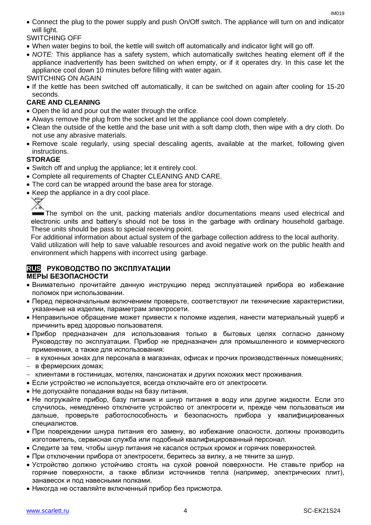Connect the plug to the power supply and push On/Off switch. The appliance will turn on and indicator will light.

SWITCHING OFF

- When water begins to boil, the kettle will switch off automatically and indicator light will go off.
- *NOTE:* This appliance has a safety system, which automatically switches heating element off if the appliance inadvertently has been switched on when empty, or if it operates dry. In this case let the appliance cool down 10 minutes before filling with water again.

SWITCHING ON AGAIN

• If the kettle has been switched off automatically, it can be switched on again after cooling for 15-20 seconds.

# **CARE AND CLEANING**

- Open the lid and pour out the water through the orifice.
- Always remove the plug from the socket and let the appliance cool down completely.
- Clean the outside of the kettle and the base unit with a soft damp cloth, then wipe with a dry cloth. Do not use any abrasive materials.
- Remove scale regularly, using special descaling agents, available at the market, following given instructions.

## **STORAGE**

- Switch off and unplug the appliance; let it entirely cool.
- Complete all requirements of Chapter CLEANING AND CARE.
- The cord can be wrapped around the base area for storage.
- Keep the appliance in a dry cool place.

The symbol on the unit, packing materials and/or documentations means used electrical and electronic units and battery's should not be toss in the garbage with ordinary household garbage. These units should be pass to special receiving point.

For additional information about actual system of the garbage collection address to the local authority.

Valid utilization will help to save valuable resources and avoid negative work on the public health and environment which happens with incorrect using garbage.

#### **RUS РУКОВОДСТВО ПО ЭКСПЛУАТАЦИИ МЕРЫ БЕЗОПАСНОСТИ**

- Внимательно прочитайте данную инструкцию перед эксплуатацией прибора во избежание поломок при использовании.
- Перед первоначальным включением проверьте, соответствуют ли технические характеристики, указанные на изделии, параметрам электросети.
- Неправильное обращение может привести к поломке изделия, нанести материальный ущерб и причинить вред здоровью пользователя.
- Прибор предназначен для использования только в бытовых целях согласно данному Руководству по эксплуатации. Прибор не предназначен для промышленного и коммерческого применения, а также для использования:
- в кухонных зонах для персонала в магазинах, офисах и прочих производственных помещениях;
- в фермерских домах;
- клиентами в гостиницах, мотелях, пансионатах и других похожих мест проживания.
- Если устройство не используется, всегда отключайте его от электросети.
- Не допускайте попадания воды на базу питания.
- Не погружайте прибор, базу питания и шнур питания в воду или другие жидкости. Если это случилось, немедленно отключите устройство от электросети и, прежде чем пользоваться им дальше, проверьте работоспособность и безопасность прибора у квалифицированных специалистов.
- При повреждении шнура питания его замену, во избежание опасности, должны производить изготовитель, сервисная служба или подобный квалифицированный персонал.
- Следите за тем, чтобы шнур питания не касался острых кромок и горячих поверхностей.
- При отключении прибора от электросети, беритесь за вилку, а не тяните за шнур.
- Устройство должно устойчиво стоять на сухой ровной поверхности. Не ставьте прибор на горячие поверхности, а также вблизи источников тепла (например, электрических плит), занавесок и под навесными полками.
- Никогда не оставляйте включенный прибор без присмотра.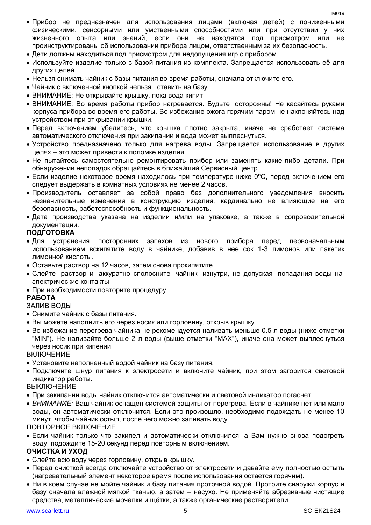- Прибор не предназначен для использования лицами (включая детей) с пониженными физическими, сенсорными или умственными способностями или при отсутствии у них жизненного опыта или знаний, если они не находятся под присмотром или не проинструктированы об использовании прибора лицом, ответственным за их безопасность.
- Дети должны находиться под присмотром для недопущения игр с прибором.
- Используйте изделие только с базой питания из комплекта. Запрещается использовать её для других целей.
- Нельзя снимать чайник с базы питания во время работы, сначала отключите его.
- Чайник с включенной кнопкой нельзя ставить на базу.
- ВНИМАНИЕ: Не открывайте крышку, пока вода кипит.
- ВНИМАНИЕ: Во время работы прибор нагревается. Будьте осторожны! Не касайтесь руками корпуса прибора во время его работы. Во избежание ожога горячим паром не наклоняйтесь над устройством при открывании крышки.
- Перед включением убедитесь, что крышка плотно закрыта, иначе не сработает система автоматического отключения при закипании и вода может выплеснуться.
- Устройство предназначено только для нагрева воды. Запрещается использование в других целях – это может привести к поломке изделия.
- Не пытайтесь самостоятельно ремонтировать прибор или заменять какие-либо детали. При обнаружении неполадок обращайтесь в ближайший Сервисный центр.
- $\bullet$  Если изделие некоторое время находилось при температуре ниже 0°С, перед включением его следует выдержать в комнатных условиях не менее 2 часов.
- Производитель оставляет за собой право без дополнительного уведомления вносить незначительные изменения в конструкцию изделия, кардинально не влияющие на его безопасность, работоспособность и функциональность.
- Дата производства указана на изделии и/или на упаковке, а также в сопроводительной документации.

## **ПОДГОТОВКА**

- Для устранения посторонних запахов из нового прибора перед первоначальным использованием вскипятите воду в чайнике, добавив в нее сок 1-3 лимонов или пакетик лимонной кислоты.
- Оставьте раствор на 12 часов, затем снова прокипятите.
- Слейте раствор и аккуратно сполосните чайник изнутри, не допуская попадания воды на электрические контакты.
- При необходимости повторите процедуру.

## **РАБОТА**

## ЗАЛИВ ВОДЫ

- Снимите чайник с базы питания.
- Вы можете наполнить его через носик или горловину, открыв крышку.
- Во избежание перегрева чайника не рекомендуется наливать меньше 0.5 л воды (ниже отметки "MIN"). Не наливайте больше 2 л воды (выше отметки "MAX"), иначе она может выплеснуться через носик при кипении.

#### ВКЛЮЧЕНИЕ

- Установите наполненный водой чайник на базу питания.
- Подключите шнур питания к электросети и включите чайник, при этом загорится световой индикатор работы.

## ВЫКЛЮЧЕНИЕ

- При закипании воды чайник отключится автоматически и световой индикатор погаснет.
- *ВНИМАНИЕ:* Ваш чайник оснащён системой защиты от перегрева. Если в чайнике нет или мало воды, он автоматически отключится. Если это произошло, необходимо подождать не менее 10 минут, чтобы чайник остыл, после чего можно заливать воду.

ПОВТОРНОЕ ВКЛЮЧЕНИЕ

 Если чайник только что закипел и автоматически отключился, а Вам нужно снова подогреть воду, подождите 15-20 секунд перед повторным включением.

## **ОЧИСТКА И УХОД**

- Слейте всю воду через горловину, открыв крышку.
- Перед очисткой всегда отключайте устройство от электросети и давайте ему полностью остыть (нагревательный элемент некоторое время после использования остается горячим).
- Ни в коем случае не мойте чайник и базу питания проточной водой. Протрите снаружи корпус и базу сначала влажной мягкой тканью, а затем – насухо. Не применяйте абразивные чистящие средства, металлические мочалки и щётки, а также органические растворители.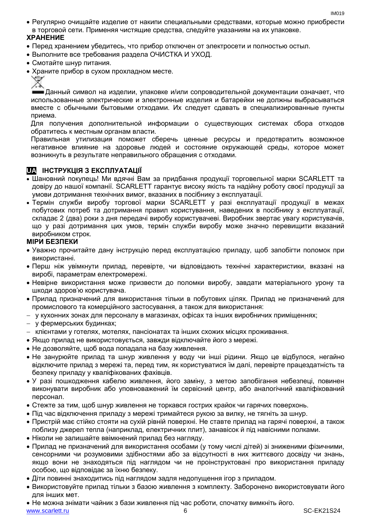Регулярно очищайте изделие от накипи специальными средствами, которые можно приобрести в торговой сети. Применяя чистящие средства, следуйте указаниям на их упаковке.

## **ХРАНЕНИЕ**

- Перед хранением убедитесь, что прибор отключен от электросети и полностью остыл.
- Выполните все требования раздела ОЧИСТКА И УХОД.
- Смотайте шнур питания.
- Храните прибор в сухом прохладном месте.

Данный символ на изделии, упаковке и/или сопроводительной документации означает, что использованные электрические и электронные изделия и батарейки не должны выбрасываться вместе с обычными бытовыми отходами. Их следует сдавать в специализированные пункты приема.

Для получения дополнительной информации о существующих системах сбора отходов обратитесь к местным органам власти.

Правильная утилизация поможет сберечь ценные ресурсы и предотвратить возможное негативное влияние на здоровье людей и состояние окружающей среды, которое может возникнуть в результате неправильного обращения с отходами.

# **UA ІНСТРУКЦІЯ З ЕКСПЛУАТАЦІЇ**

- Шановний покупець! Ми вдячні Вам за придбання продукції торговельної марки SCARLETT та довіру до нашої компанії. SCARLETT гарантує високу якість та надійну роботу своєї продукції за умови дотримання технічних вимог, вказаних в посібнику з експлуатації.
- Термін служби виробу торгової марки SCARLETT у разі експлуатації продукції в межах побутових потреб та дотримання правил користування, наведених в посібнику з експлуатації, складає 2 (два) роки з дня передачі виробу користувачеві. Виробник звертає увагу користувачів, що у разі дотримання цих умов, термін служби виробу може значно перевищити вказаний виробником строк.

## **МІРИ БЕЗПЕКИ**

- Уважно прочитайте дану інструкцію перед експлуатацією приладу, щоб запобігти поломок при використанні.
- Перш ніж увімкнути прилад, перевірте, чи відповідають технічні характеристики, вказані на виробі, параметрам електромережі.
- Невiрне використання може призвести до поломки виробу, завдати матеріального урону та шкоди здоров'ю користувача.
- Прилад призначений для використання тільки в побутових цілях. Прилад не призначений для промислового та комерційного застосування, а також для використання:
- у кухонних зонах для персоналу в магазинах, офісах та інших виробничих приміщеннях;
- у фермерських будинках;
- клієнтами у готелях, мотелях, пансіонатах та інших схожих місцях проживання.
- Якщо прилад не використовується, завжди відключайте його з мережі.
- Не дозволяйте, щоб вода попадала на базу живлення.
- Не занурюйте прилад та шнур живлення у воду чи інші рідини. Якщо це відбулося, негайно відключите прилад з мережі та, перед тим, як користуватися їм далі, перевірте працездатність та безпеку приладу у кваліфікованих фахівців.
- У разі пошкодження кабелю живлення, його заміну, з метою запобігання небезпеці, повинен виконувати виробник або уповноважений їм сервісний центр, або аналогічний кваліфікований персонал.
- Стежте за тим, щоб шнур живлення не торкався гострих крайок чи гарячих поверхонь.
- Пiд час відключення приладу з мережі тримайтеся рукою за вилку, не тягніть за шнур.
- Пристрій має стійко стояти на сухій рiвній поверхні. Не ставте прилад на гарячі поверхні, а також поблизу джерел тепла (наприклад, електричних плит), занавісок й під навісними полками.
- Ніколи не залишайте ввімкнений прилад без нагляду.
- Прилад не призначений для використання особами (у тому числі дітей) зі зниженими фізичними, сенсорними чи розумовими здібностями або за відсутності в них життєвого досвіду чи знань, якщо вони не знаходяться під наглядом чи не проінструктовані про використання приладу особою, що відповідає за їхню безпеку.
- Діти повинні знаходитись під наглядом задля недопущення ігор з приладом.
- Використовуйте прилад тільки з базою живлення з комплекту. Заборонено використовувати його для iнших мет.
- Не можна знімати чайник з бази живлення під час роботи, спочатку вимкніть його.

www.scarlett.ru 6 SC-EK21S24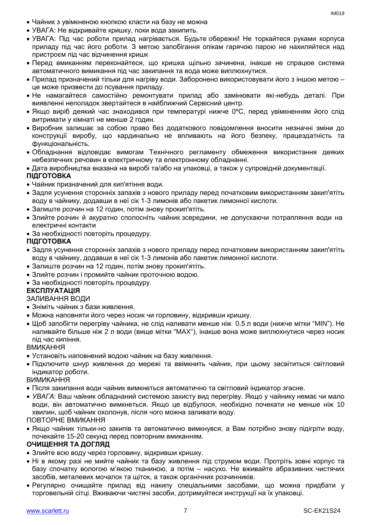- Чайник з увімкненою кнопкою класти на базу не можна
- УВАГА: Не відкривайте кришку, поки вода закипить.
- УВАГА: Під час роботи прилад нагрівається. Будьте обережні! Не торкайтеся руками корпуса приладу під час його роботи. З метою запобігання опікам гарячою парою не нахиляйтеся над пристроєм під час відчинення кришк
- Перед вмиканням переконайтеся, що кришка щільно зачинена, інакше не спрацюе система автоматичного вимикання пiд час закипання та вода може виплюхнутися.
- Прилад призначений тільки для нагріву води. Заборонено використовувати його з іншою метою це може призвести до псування приладу.
- Не намагайтеся самостійно ремонтувати прилад або замінювати які-небудь деталі. При виявленні неполадок звертайтеся в найближчий Сервісний центр.
- Якщо виріб деякий час знаходився при температурі нижче 0ºC, перед увімкненням його слід витримати у кімнаті не менше 2 годин.
- Виробник залишає за собою право без додаткового повідомлення вносити незначні зміни до конструкції виробу, що кардинально не впливають на його безпеку, працездатність та функціональність.
- Обладнання відповідає вимогам Технічного регламенту обмеження використання деяких небезпечних речовин в електричному та електронному обладнанні.

Дата виробництва вказана на виробі та/або на упаковці, а також у супровідній документації.

# **ПІДГОТОВКА**

- Чайник призначений для кип'ятіння води.
- Задля усунення сторонніх запахів з нового приладу перед початковим використанням закип'ятіть воду в чайнику, додавши в неї сік 1-3 лимонів або пакетик лимонної кислоти.
- Залиште розчин на 12 годин, потім знову прокип'ятіть.
- Злийте розчин й акуратно сполосніть чайник зсередини, не допускаючи потрапляння води на електричні контакти
- За необхідності повторіть процедуру.

## **ПІДГОТОВКА**

- Задля усунення сторонніх запахів з нового приладу перед початковим використанням закип'ятіть воду в чайнику, додавши в неї сік 1-3 лимонів або пакетик лимонної кислоти.
- Залиште розчин на 12 годин, потім знову прокип'ятіть.
- Злийте розчин і промийте чайник проточною водою.
- За необхідності повторіть процедуру.

## **ЕКСПЛУАТАЦІЯ**

ЗАЛИВАННЯ ВОДИ

- Зніміть чайник з бази живлення.
- Можна наповняти його через носик чи горловину, відкривши кришку.
- $\bullet$  Шоб запобігти перегріву чайника, не слід наливати менше ніж 0.5 л води (нижче мітки "MIN"). Не наливайте більше ніж 2 л води (вище мітки "MAX"), інакше вона може виплюхнутися через носик пiд час кипіння.

ВМИКАННЯ

- Установіть наповнений водою чайник на базу живлення.
- Підключите шнур живлення до мережі та ввімкнить чайник, при цьому засвітиться світловий індикатор роботи.

ВИМИКАННЯ

- Після закипання води чайник вимкнеться автоматично та світловий індикатор згасне.
- *УВАГА:* Ваш чайник обладнаний системою захисту вид перегріву. Якщо у чайнику немає чи мало води, він автоматично вимкнеться. Якщо це відбулося, необхідно почекати не менше ніж 10 хвилин, щоб чайник охолонув, після чого можна заливати воду.

ПОВТОРНЕ ВМИКАННЯ

 Якщо чайник тільки-но закипів та автоматично вимкнувся, а Вам потрібно знову підігріти воду, почекайте 15-20 секунд перед повторним вмиканням.

## **ОЧИЩЕННЯ ТА ДОГЛЯД**

- Злийте всю воду через горловину, відкривши кришку.
- Ні в якому разі не мийте чайник та базу живлення під струмом води. Протріть зовні корпус та базу спочатку вологою м'якою тканиною, а потім – насухо. Не вживайте абразивних чистячих засобів, металевих мочалок та щіток, а також органічних розчинників.
- Регулярно очищайте прилад від накипу спеціальними засобами, що можна придбати у торговельній сітці. Вживаючи чистячі засоби, дотримуйтеся инструкції на їх упаковці.

IM019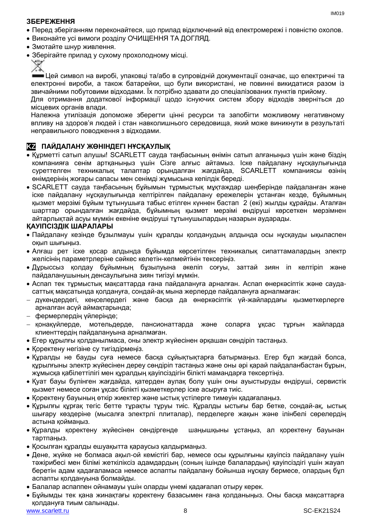## **ЗБЕРЕЖЕННЯ**

- Перед зберіганням переконайтеся, що прилад відключений від електромережі і повністю охолов.
- Виконайте усі вимоги розділу ОЧИЩЕННЯ ТА ДОГЛЯД.
- Змотайте шнур живлення.
- Зберігайте прилад у сухому прохолодному місці.



Цей символ на виробі, упаковці та/або в супровідній документації означає, що електричні та електронні вироби, а також батарейки, що були використані, не повинні викидатися разом із звичайними побутовими відходами. Їх потрібно здавати до спеціалізованих пунктів прийому.

Для отримання додаткової інформації щодо існуючих систем збору відходів зверніться до місцевих органів влади.

Належна утилізація допоможе зберегти цінні ресурси та запобігти можливому негативному впливу на здоров'я людей і стан навколишнього середовища, який може виникнути в результаті неправильного поводження з відходами.

# **KZ ПАЙДАЛАНУ ЖӨНІНДЕГІ НҰСҚАУЛЫҚ**

- Құрметті сатып алушы! SCARLETT сауда таңбасының өнімін сатып алғаныңыз үшін және біздің компанияға сенім артқаныңыз үшін Сізге алғыс айтамыз. Іске пайдалану нұсқаулығында суреттелген техникалық талаптар орындалған жағдайда, SCARLETT компаниясы өзінің өнімдерінің жоғары сапасы мен сенімді жұмысына кепілдік береді.
- SCARLETT сауда таңбасының бұйымын тұрмыстық мұқтаждар шеңберінде пайдаланған және іске пайдалану нұсқаулығында келтірілген пайдалану ережелерін ұстанған кезде, бұйымның қызмет мерзімі бұйым тұтынушыға табыс етілген күннен бастап 2 (екі) жылды құрайды. Аталған шарттар орындалған жағдайда, бұйымның қызмет мерзімі өндіруші көрсеткен мерзімнен айтарлықтай асуы мүмкін екеніне өндіруші тұтынушылардың назарын аударады.

## **ҚАУІПСІЗДІК ШАРАЛАРЫ**

- Пайдалану кезінде бұзылмауы үшін құралды қолданудың алдында осы нұсқауды ықыласпен оқып шығыңыз.
- Алғаш рет іске қосар алдында бұйымда көрсетілген техникалық сипаттамалардың электр желісінің параметрлеріне сәйкес келетін-келмейтінін тексеріңіз.
- Дұрыссыз қолдау бұйымның бұзылуына әкеліп соғуы, заттай зиян іп келтіріп және пайдаланушының денсаулығына зиян тигізуі мүмкін.
- Аспап тек тұрмыстық мақсаттарда ғана пайдалануға арналған. Аспап өнеркәсіптік және саудасаттық мақсатында қолдануға, сондай-ақ мына жерлерде пайдалануға арналмаған:
- дүкендердегі, кеңселердегі және басқа да өнеркәсіптік үй-жайлардағы қызметкерлерге арналған асүй аймақтарында;
- фермерлердің үйлерінде;
- қонақүйлерде, мотельдерде, пансионаттарда және соларға ұқсас тұрғын жайларда клиенттердің пайдалануына арналмаған.
- Егер құрылғы қолданылмаса, оны электр жүйесінен әрқашан сөндіріп тастаңыз.
- Қоректену негізіне су тигіздірмеңіз.
- Құралды не бауды суға немесе басқа сұйықтықтарға батырмаңыз. Егер бұл жағдай болса, курылғыны электр жүйесінен дереу сөндіріп тастаныз және оны әрі қарай пайдаланбастан бурын, жұмысқа қабілеттілігі мен құралдың қауіпсіздігін білікті мамандарға тексертіңіз.
- Қуат бауы бүлінген жағдайда, қатерден аулақ болу үшін оны ауыстыруды өндіруші, сервистік қызмет немесе соған ұқсас білікті қызметкерлер іске асыруға тиіс.
- Қоректену бауының өткір жиектер және ыстық үстілерге тимеуін қадағалаңыз.
- Құрылғы құрғақ тегіс бетте тұрақты тұруы тиіс. Құралды ыстығы бар бетке, сондай-ақ, ыстық шығару көздеріне (мысалға электрлі плиталар), перделерге жақын және ілінбелі сөрелердің астына қоймаңыз.
- Құралды қоректену жүйесінен сөндіргенде шаңышқыны ұстаңыз, ал қоректену бауынан тартпаңыз.
- Қосылған құралды ешуақытта қараусыз қалдырмаңыз.
- Дене, жүйке не болмаса ақыл-ой кемістігі бар, немесе осы құрылғыны қауіпсіз пайдалану үшін тәжірибесі мен білімі жеткіліксіз адамдардың (соның ішінде балалардың) қауіпсіздігі үшін жауап беретін адам қадағаламаса немесе аспапты пайдалану бойынша нұсқау бермесе, олардың бұл аспапты қолдануына болмайды.
- Балалар аспаппен ойнамауы үшін оларды үнемі қадағалап отыру керек.
- Бұйымды тек қана жинақтағы қоректену базасымен ғана қолданыңыз. Оны басқа мақсаттарға қолдануға тиым салынады.

IM019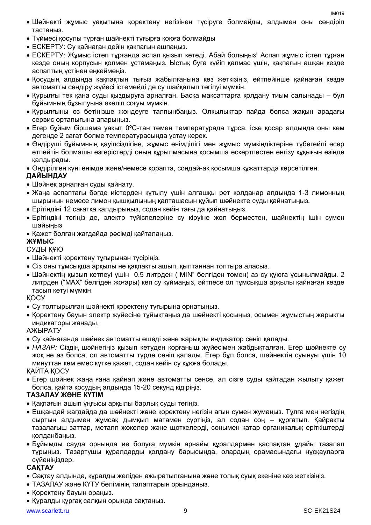- Шәйнекті жұмыс уақытына қоректену негізінен түсіруге болмайды, алдымен оны сөндіріп тастаңыз.
- Түймесі қосулы түрған шайнекті тұғырға қоюға болмайды
- ЕСКЕРТУ: Су қайнаған дейін қақпағын ашпаңыз.
- ЕСКЕРТУ: Жұмыс істеп тұрғанда аспап қызып кетеді. Абай болыңыз! Аспап жұмыс істеп тұрған кезде оның корпусын қолмен ұстамаңыз. Ыстық буға күйіп қалмас үшін, қақпағын ашқан кезде аспаптың үстінен еңкеймеңіз.
- Қосудың алдында қақпақтың тығыз жабылғанына көз жеткізіңіз, өйтпейінше қайнаған кезде автоматты сөндіру жүйесі істемейді де су шайқалып төгілуі мүмкін.
- Құрылғы тек қана суды қыздыруға арналған. Басқа мақсаттарға қолдану тиым салынады бұл бұйымның бұзылуына әкеліп соғуы мүмкін.
- Құрылғыны өз бетіңізше жөндеуге талпынбаңыз. Олқылықтар пайда болса жақын арадағы сервис орталығына апарыңыз.
- Егер бұйым біршама уақыт 0ºC-тан төмен температурада тұрса, іске қосар алдында оны кем дегенде 2 сағат бөлме температурасында ұстау керек.
- Өндіруші бұйымның қауіпсіздігіне, жұмыс өнімділігі мен жұмыс мүмкіндіктеріне түбегейлі әсер етпейтін болмашы өзгерістерді оның құрылмасына қосымша ескертпестен енгізу құқығын өзінде қалдырады.
- Өндірілген күні өнімде және/немесе қорапта, сондай-ақ қосымша құжаттарда көрсетілген.

## **ДАЙЫНДАУ**

- Шәйнек арналған суды қайнату.
- Жаңа аспаптағы бөгде иістерден құтылу үшін алғашқы рет қолданар алдында 1-3 лимонның шырынын немесе лимон қышқылының қалташасын құйып шәйнекте суды қайнатыңыз.
- Ерітіндіні 12 сағатқа қалдырыңыз, содан кейін тағы да қайнатыңыз.
- Ерітіндіні төгіңіз де, электр түйіспелеріне су кіруіне жол берместен, шайнектің ішін сумен шайыңыз
- Қажет болған жағдайда рәсімді қайталаңыз.

# **ЖҰМЫС**

## СУДЫ ҚҰЮ

- Шәйнекті қоректену тұғырынан түсіріңіз.
- Сіз оны тұмсықша арқылы не қақпақты ашып, қылтаннан толтыра алаcыз.
- Шәйнектің қызып кетпеуі үшін 0.5 литрден ("MIN" белгіден төмен) аз су құюға ұсынылмайды. 2 литрден ("MAX" белгіден жоғары) көп су құймаңыз, әйтпесе ол тұмсықша арқылы қайнаған кезде тасып кетуі мүмкін.

## ҚОСУ

- Су толтырылған шәйнекті қоректену тұғырына орнатыңыз.
- Қоректену бауын электр жүйесіне тұйықтаңыз да шәйнекті қосыңыз, осымен жұмыстың жарықты индикаторы жанады.

## АЖЫРАТУ

- Су қайнағанда шәйнек автоматты өшеді және жарықты индикатор сөніп қалады.
- *НАЗАР:* Сіздің шәйнегіңіз қызып кетуден қорғаныш жүйесімен жабдықталған. Егер шәйнекте су жоқ не аз болса, ол автоматты түрде сөніп қалады. Егер бұл болса, шәйнектің суынуы үшін 10 минуттан кем емес күтке қажет, содан кейін су құюға болады.

## ҚАЙТА ҚОСУ

 Егер шәйнек жаңа ғана қайнап және автоматты сөнсе, ал сізге суды қайтадан жылыту қажет болса, қайта қосудың алдында 15-20 секунд кідіріңіз.

## **ТАЗАЛАУ ЖӘНЕ КҮТІМ**

- Қақпағын ашып ұңғысы арқылы барлық суды төгіңіз.
- Ешқандай жағдайда да шәйнекті және қоректену негізін ағын сумен жумаңыз. Тұлға мен негіздің сыртын алдымен жұмсақ дымқыл матамен сүртіңіз, ал содан соң – құрғатып. Қайрақты тазалағыш заттар, металл жөкелер және щөткелерді, сонымен қатар органикалық еріткіштерді қолданбаңыз.
- Бұйымды сауда орнында ие болуға мүмкін арнайы құралдармен қаспақтан ұдайы тазалап тұрыңыз. Тазартушы құралдарды қолдану барысында, олардың орамасындағы нұсқауларға сүйеніңіздер.

## **САҚТАУ**

- Cақтау алдында, құралды желіден ажыратылғанына және толық суық екеніне көз жеткізіңіз.
- ТАЗАЛАУ және КҮТУ бөлімінің талаптарын орындаңыз.
- Қоректену бауын ораңыз.
- Құралды құрғақ салқын орында сақтаңыз.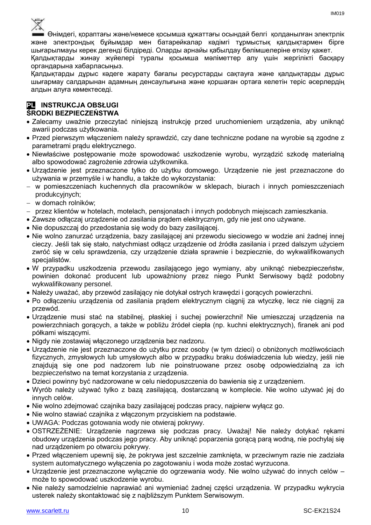

Өнімдегі, қораптағы және/немесе қосымша құжаттағы осындай белгі қолданылған электрлік және электрондық бұйымдар мен батарейкалар кәдімгі тұрмыстық қалдықтармен бірге шығарылмауы керек дегенді білдіреді. Оларды арнайы қабылдау бөлімшелеріне өткізу қажет.

Қалдықтарды жинау жүйелері туралы қосымша мәліметтер алу үшін жергілікті басқару органдарына хабарласыңыз.

Қалдықтарды дұрыс кәдеге жарату бағалы ресурстарды сақтауға және қалдықтарды дұрыс шығармау салдарынан адамның денсаулығына және қоршаған ортаға келетін теріс әсерлердің алдын алуға көмектеседі.

#### **PL INSTRUKCJA OBSŁUGI ŚRODKI BEZPIECZEŃSTWA**

- Zalecamy uważnie przeczytać niniejszą instrukcję przed uruchomieniem urządzenia, aby uniknąć awarii podczas użytkowania.
- Przed pierwszym włączeniem należy sprawdzić, czy dane techniczne podane na wyrobie są zgodne z parametrami prądu elektrycznego.
- Niewłaściwe postępowanie może spowodować uszkodzenie wyrobu, wyrządzić szkodę materialną albo spowodować zagrożenie zdrowia użytkownika.
- Urządzenie jest przeznaczone tylko do użytku domowego. Urządzenie nie jest przeznaczone do używania w przemyśle i w handlu, a także do wykorzystania:
- w pomieszczeniach kuchennych dla pracowników w sklepach, biurach i innych pomieszczeniach produkcyjnych;
- w domach rolników;
- przez klientów w hotelach, motelach, pensjonatach i innych podobnych miejscach zamieszkania.
- Zawsze odłączaj urządzenie od zasilania prądem elektrycznym, gdy nie jest ono używane.
- Nie dopuszczaj do przedostania się wody do bazy zasilającej.
- Nie wolno zanurzać urządzenia, bazy zasilającej ani przewodu sieciowego w wodzie ani żadnej innej cieczy. Jeśli tak się stało, natychmiast odłącz urządzenie od źródła zasilania i przed dalszym użyciem zwróć się w celu sprawdzenia, czy urządzenie działa sprawnie i bezpiecznie, do wykwalifikowanych specjalistów.
- W przypadku uszkodzenia przewodu zasilającego jego wymiany, aby uniknąć niebezpieczeństw, powinien dokonać producent lub upoważniony przez niego Punkt Serwisowy bądź podobny wykwalifikowany personel.
- Należy uważać, aby przewód zasilający nie dotykał ostrych krawędzi i gorących powierzchni.
- Po odłączeniu urządzenia od zasilania prądem elektrycznym ciągnij za wtyczkę, lecz nie ciągnij za przewód.
- Urządzenie musi stać na stabilnej, płaskiej i suchej powierzchni! Nie umieszczaj urządzenia na powierzchniach gorących, a także w pobliżu źródeł ciepła (np. kuchni elektrycznych), firanek ani pod półkami wiszącymi.
- Nigdy nie zostawiaj włączonego urządzenia bez nadzoru.
- Urządzenie nie jest przeznaczone do użytku przez osoby (w tym dzieci) o obniżonych możliwościach fizycznych, zmysłowych lub umysłowych albo w przypadku braku doświadczenia lub wiedzy, jeśli nie znajdują się one pod nadzorem lub nie poinstruowane przez osobę odpowiedzialną za ich bezpieczeństwo na temat korzystania z urządzenia.
- Dzieci powinny być nadzorowane w celu niedopuszczenia do bawienia się z urządzeniem.
- Wyrób należy używać tylko z bazą zasilającą, dostarczaną w komplecie. Nie wolno używać jej do innych celów.
- Nie wolno zdejmować czajnika bazy zasilającej podczas pracy, najpierw wyłącz go.
- Nie wolno stawiać czajnika z włączonym przyciskiem na podstawie.
- UWAGA: Podczas gotowania wody nie otwieraj pokrywy.
- OSTRZEŻENIE: Urządzenie nagrzewa się podczas pracy. Uważaj! Nie należy dotykać rękami obudowy urządzenia podczas jego pracy. Aby uniknąć poparzenia gorącą parą wodną, nie pochylaj się nad urządzeniem po otwarciu pokrywy.
- Przed włączeniem upewnij się, że pokrywa jest szczelnie zamknięta, w przeciwnym razie nie zadziała system automatycznego wyłączenia po zagotowaniu i woda może zostać wyrzucona.
- Urządzenie jest przeznaczone wyłącznie do ogrzewania wody. Nie wolno używać do innych celów może to spowodować uszkodzenie wyrobu.
- Nie należy samodzielnie naprawiać ani wymieniać żadnej części urządzenia. W przypadku wykrycia usterek należy skontaktować się z najbliższym Punktem Serwisowym.